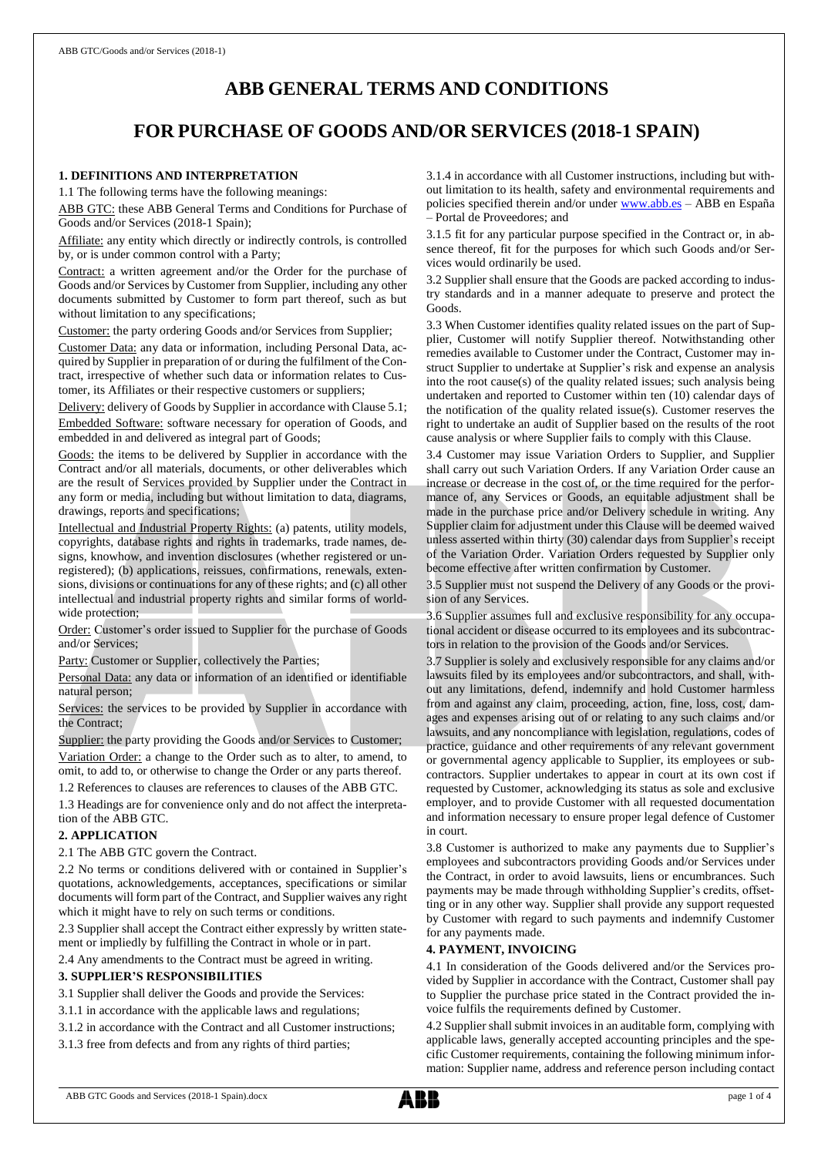# **ABB GENERAL TERMS AND CONDITIONS**

# **FOR PURCHASE OF GOODS AND/OR SERVICES (2018-1 SPAIN)**

# **1. DEFINITIONS AND INTERPRETATION**

1.1 The following terms have the following meanings:

ABB GTC: these ABB General Terms and Conditions for Purchase of Goods and/or Services (2018-1 Spain);

Affiliate: any entity which directly or indirectly controls, is controlled by, or is under common control with a Party;

Contract: a written agreement and/or the Order for the purchase of Goods and/or Services by Customer from Supplier, including any other documents submitted by Customer to form part thereof, such as but without limitation to any specifications;

Customer: the party ordering Goods and/or Services from Supplier;

Customer Data: any data or information, including Personal Data, acquired by Supplier in preparation of or during the fulfilment of the Contract, irrespective of whether such data or information relates to Customer, its Affiliates or their respective customers or suppliers;

Delivery: delivery of Goods by Supplier in accordance with Clause 5.1; Embedded Software: software necessary for operation of Goods, and embedded in and delivered as integral part of Goods;

Goods: the items to be delivered by Supplier in accordance with the Contract and/or all materials, documents, or other deliverables which are the result of Services provided by Supplier under the Contract in any form or media, including but without limitation to data, diagrams, drawings, reports and specifications;

Intellectual and Industrial Property Rights: (a) patents, utility models, copyrights, database rights and rights in trademarks, trade names, designs, knowhow, and invention disclosures (whether registered or unregistered); (b) applications, reissues, confirmations, renewals, extensions, divisions or continuations for any of these rights; and (c) all other intellectual and industrial property rights and similar forms of worldwide protection;

Order: Customer's order issued to Supplier for the purchase of Goods and/or Services;

Party: Customer or Supplier, collectively the Parties;

Personal Data: any data or information of an identified or identifiable natural person;

Services: the services to be provided by Supplier in accordance with the Contract;

Supplier: the party providing the Goods and/or Services to Customer; Variation Order: a change to the Order such as to alter, to amend, to omit, to add to, or otherwise to change the Order or any parts thereof. 1.2 References to clauses are references to clauses of the ABB GTC.

1.3 Headings are for convenience only and do not affect the interpretation of the ABB GTC.

#### **2. APPLICATION**

2.1 The ABB GTC govern the Contract.

2.2 No terms or conditions delivered with or contained in Supplier's quotations, acknowledgements, acceptances, specifications or similar documents will form part of the Contract, and Supplier waives any right which it might have to rely on such terms or conditions.

2.3 Supplier shall accept the Contract either expressly by written statement or impliedly by fulfilling the Contract in whole or in part.

## 2.4 Any amendments to the Contract must be agreed in writing. **3. SUPPLIER'S RESPONSIBILITIES**

3.1 Supplier shall deliver the Goods and provide the Services:

- 3.1.1 in accordance with the applicable laws and regulations;
- 3.1.2 in accordance with the Contract and all Customer instructions;

3.1.3 free from defects and from any rights of third parties;

3.1.4 in accordance with all Customer instructions, including but without limitation to its health, safety and environmental requirements and policies specified therein and/or under [www.abb.es](http://www.abb.es/) – ABB en España – Portal de Proveedores; and

3.1.5 fit for any particular purpose specified in the Contract or, in absence thereof, fit for the purposes for which such Goods and/or Services would ordinarily be used.

3.2 Supplier shall ensure that the Goods are packed according to industry standards and in a manner adequate to preserve and protect the Goods.

3.3 When Customer identifies quality related issues on the part of Supplier, Customer will notify Supplier thereof. Notwithstanding other remedies available to Customer under the Contract, Customer may instruct Supplier to undertake at Supplier's risk and expense an analysis into the root cause(s) of the quality related issues; such analysis being undertaken and reported to Customer within ten (10) calendar days of the notification of the quality related issue(s). Customer reserves the right to undertake an audit of Supplier based on the results of the root cause analysis or where Supplier fails to comply with this Clause.

3.4 Customer may issue Variation Orders to Supplier, and Supplier shall carry out such Variation Orders. If any Variation Order cause an increase or decrease in the cost of, or the time required for the performance of, any Services or Goods, an equitable adjustment shall be made in the purchase price and/or Delivery schedule in writing. Any Supplier claim for adjustment under this Clause will be deemed waived unless asserted within thirty (30) calendar days from Supplier's receipt of the Variation Order. Variation Orders requested by Supplier only become effective after written confirmation by Customer.

3.5 Supplier must not suspend the Delivery of any Goods or the provision of any Services.

3.6 Supplier assumes full and exclusive responsibility for any occupational accident or disease occurred to its employees and its subcontractors in relation to the provision of the Goods and/or Services.

3.7 Supplier is solely and exclusively responsible for any claims and/or lawsuits filed by its employees and/or subcontractors, and shall, without any limitations, defend, indemnify and hold Customer harmless from and against any claim, proceeding, action, fine, loss, cost, damages and expenses arising out of or relating to any such claims and/or lawsuits, and any noncompliance with legislation, regulations, codes of practice, guidance and other requirements of any relevant government or governmental agency applicable to Supplier, its employees or subcontractors. Supplier undertakes to appear in court at its own cost if requested by Customer, acknowledging its status as sole and exclusive employer, and to provide Customer with all requested documentation and information necessary to ensure proper legal defence of Customer in court.

3.8 Customer is authorized to make any payments due to Supplier's employees and subcontractors providing Goods and/or Services under the Contract, in order to avoid lawsuits, liens or encumbrances. Such payments may be made through withholding Supplier's credits, offsetting or in any other way. Supplier shall provide any support requested by Customer with regard to such payments and indemnify Customer for any payments made.

## **4. PAYMENT, INVOICING**

4.1 In consideration of the Goods delivered and/or the Services provided by Supplier in accordance with the Contract, Customer shall pay to Supplier the purchase price stated in the Contract provided the invoice fulfils the requirements defined by Customer.

4.2 Supplier shall submit invoices in an auditable form, complying with applicable laws, generally accepted accounting principles and the specific Customer requirements, containing the following minimum information: Supplier name, address and reference person including contact

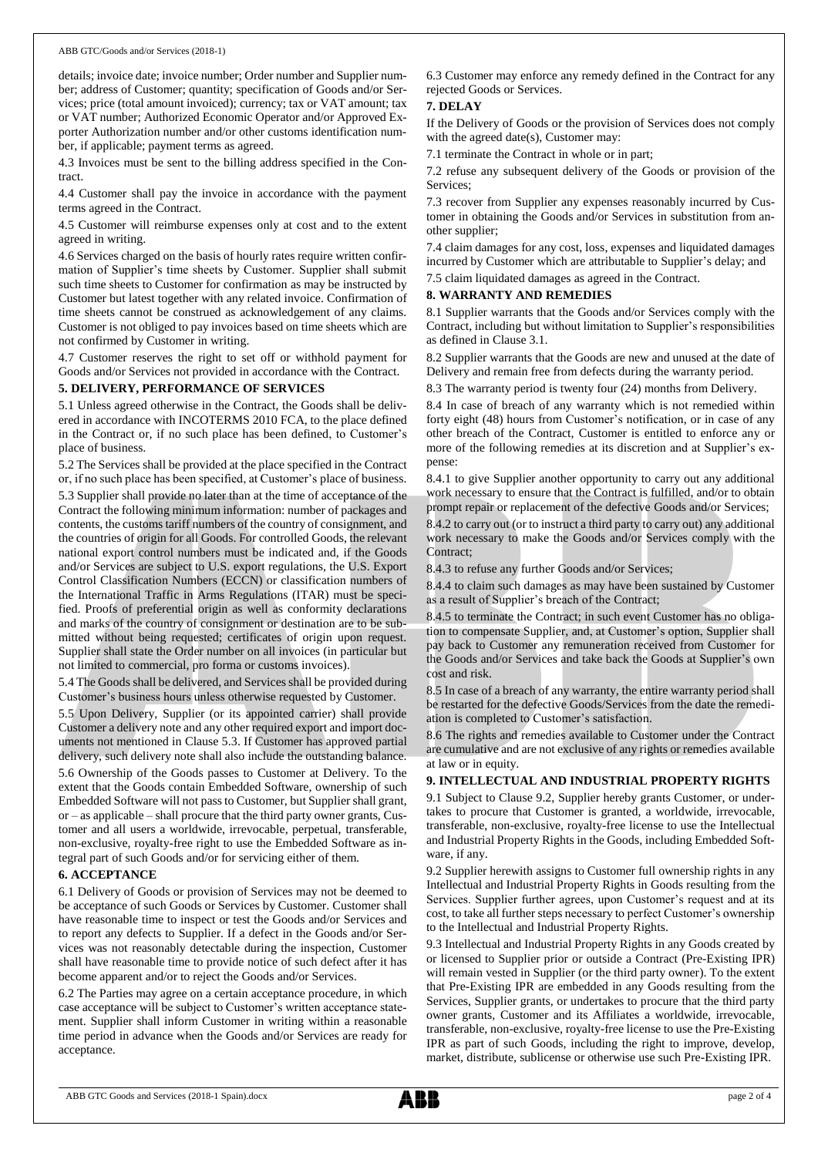details; invoice date; invoice number; Order number and Supplier number; address of Customer; quantity; specification of Goods and/or Services; price (total amount invoiced); currency; tax or VAT amount; tax or VAT number; Authorized Economic Operator and/or Approved Exporter Authorization number and/or other customs identification number, if applicable; payment terms as agreed.

4.3 Invoices must be sent to the billing address specified in the Contract.

4.4 Customer shall pay the invoice in accordance with the payment terms agreed in the Contract.

4.5 Customer will reimburse expenses only at cost and to the extent agreed in writing.

4.6 Services charged on the basis of hourly rates require written confirmation of Supplier's time sheets by Customer. Supplier shall submit such time sheets to Customer for confirmation as may be instructed by Customer but latest together with any related invoice. Confirmation of time sheets cannot be construed as acknowledgement of any claims. Customer is not obliged to pay invoices based on time sheets which are not confirmed by Customer in writing.

4.7 Customer reserves the right to set off or withhold payment for Goods and/or Services not provided in accordance with the Contract.

#### **5. DELIVERY, PERFORMANCE OF SERVICES**

5.1 Unless agreed otherwise in the Contract, the Goods shall be delivered in accordance with INCOTERMS 2010 FCA, to the place defined in the Contract or, if no such place has been defined, to Customer's place of business.

5.2 The Services shall be provided at the place specified in the Contract or, if no such place has been specified, at Customer's place of business.

5.3 Supplier shall provide no later than at the time of acceptance of the Contract the following minimum information: number of packages and contents, the customs tariff numbers of the country of consignment, and the countries of origin for all Goods. For controlled Goods, the relevant national export control numbers must be indicated and, if the Goods and/or Services are subject to U.S. export regulations, the U.S. Export Control Classification Numbers (ECCN) or classification numbers of the International Traffic in Arms Regulations (ITAR) must be specified. Proofs of preferential origin as well as conformity declarations and marks of the country of consignment or destination are to be submitted without being requested; certificates of origin upon request. Supplier shall state the Order number on all invoices (in particular but not limited to commercial, pro forma or customs invoices).

5.4 The Goods shall be delivered, and Services shall be provided during Customer's business hours unless otherwise requested by Customer.

5.5 Upon Delivery, Supplier (or its appointed carrier) shall provide Customer a delivery note and any other required export and import documents not mentioned in Clause 5.3. If Customer has approved partial delivery, such delivery note shall also include the outstanding balance.

5.6 Ownership of the Goods passes to Customer at Delivery. To the extent that the Goods contain Embedded Software, ownership of such Embedded Software will not passto Customer, but Supplier shall grant, or – as applicable – shall procure that the third party owner grants, Customer and all users a worldwide, irrevocable, perpetual, transferable, non-exclusive, royalty-free right to use the Embedded Software as integral part of such Goods and/or for servicing either of them.

#### **6. ACCEPTANCE**

6.1 Delivery of Goods or provision of Services may not be deemed to be acceptance of such Goods or Services by Customer. Customer shall have reasonable time to inspect or test the Goods and/or Services and to report any defects to Supplier. If a defect in the Goods and/or Services was not reasonably detectable during the inspection, Customer shall have reasonable time to provide notice of such defect after it has become apparent and/or to reject the Goods and/or Services.

6.2 The Parties may agree on a certain acceptance procedure, in which case acceptance will be subject to Customer's written acceptance statement. Supplier shall inform Customer in writing within a reasonable time period in advance when the Goods and/or Services are ready for acceptance.

6.3 Customer may enforce any remedy defined in the Contract for any rejected Goods or Services.

## **7. DELAY**

If the Delivery of Goods or the provision of Services does not comply with the agreed date(s), Customer may:

7.1 terminate the Contract in whole or in part;

7.2 refuse any subsequent delivery of the Goods or provision of the Services;

7.3 recover from Supplier any expenses reasonably incurred by Customer in obtaining the Goods and/or Services in substitution from another supplier;

7.4 claim damages for any cost, loss, expenses and liquidated damages incurred by Customer which are attributable to Supplier's delay; and 7.5 claim liquidated damages as agreed in the Contract.

#### **8. WARRANTY AND REMEDIES**

8.1 Supplier warrants that the Goods and/or Services comply with the Contract, including but without limitation to Supplier's responsibilities as defined in Clause 3.1.

8.2 Supplier warrants that the Goods are new and unused at the date of Delivery and remain free from defects during the warranty period.

8.3 The warranty period is twenty four (24) months from Delivery.

8.4 In case of breach of any warranty which is not remedied within forty eight (48) hours from Customer's notification, or in case of any other breach of the Contract, Customer is entitled to enforce any or more of the following remedies at its discretion and at Supplier's expense:

8.4.1 to give Supplier another opportunity to carry out any additional work necessary to ensure that the Contract is fulfilled, and/or to obtain prompt repair or replacement of the defective Goods and/or Services;

8.4.2 to carry out (or to instruct a third party to carry out) any additional work necessary to make the Goods and/or Services comply with the Contract:

8.4.3 to refuse any further Goods and/or Services;

8.4.4 to claim such damages as may have been sustained by Customer as a result of Supplier's breach of the Contract;

8.4.5 to terminate the Contract; in such event Customer has no obligation to compensate Supplier, and, at Customer's option, Supplier shall pay back to Customer any remuneration received from Customer for the Goods and/or Services and take back the Goods at Supplier's own cost and risk.

8.5 In case of a breach of any warranty, the entire warranty period shall be restarted for the defective Goods/Services from the date the remediation is completed to Customer's satisfaction.

8.6 The rights and remedies available to Customer under the Contract are cumulative and are not exclusive of any rights or remedies available at law or in equity.

#### **9. INTELLECTUAL AND INDUSTRIAL PROPERTY RIGHTS**

9.1 Subject to Clause 9.2, Supplier hereby grants Customer, or undertakes to procure that Customer is granted, a worldwide, irrevocable, transferable, non-exclusive, royalty-free license to use the Intellectual and Industrial Property Rights in the Goods, including Embedded Software, if any.

9.2 Supplier herewith assigns to Customer full ownership rights in any Intellectual and Industrial Property Rights in Goods resulting from the Services. Supplier further agrees, upon Customer's request and at its cost, to take all further steps necessary to perfect Customer's ownership to the Intellectual and Industrial Property Rights.

9.3 Intellectual and Industrial Property Rights in any Goods created by or licensed to Supplier prior or outside a Contract (Pre-Existing IPR) will remain vested in Supplier (or the third party owner). To the extent that Pre-Existing IPR are embedded in any Goods resulting from the Services, Supplier grants, or undertakes to procure that the third party owner grants, Customer and its Affiliates a worldwide, irrevocable, transferable, non-exclusive, royalty-free license to use the Pre-Existing IPR as part of such Goods, including the right to improve, develop, market, distribute, sublicense or otherwise use such Pre-Existing IPR.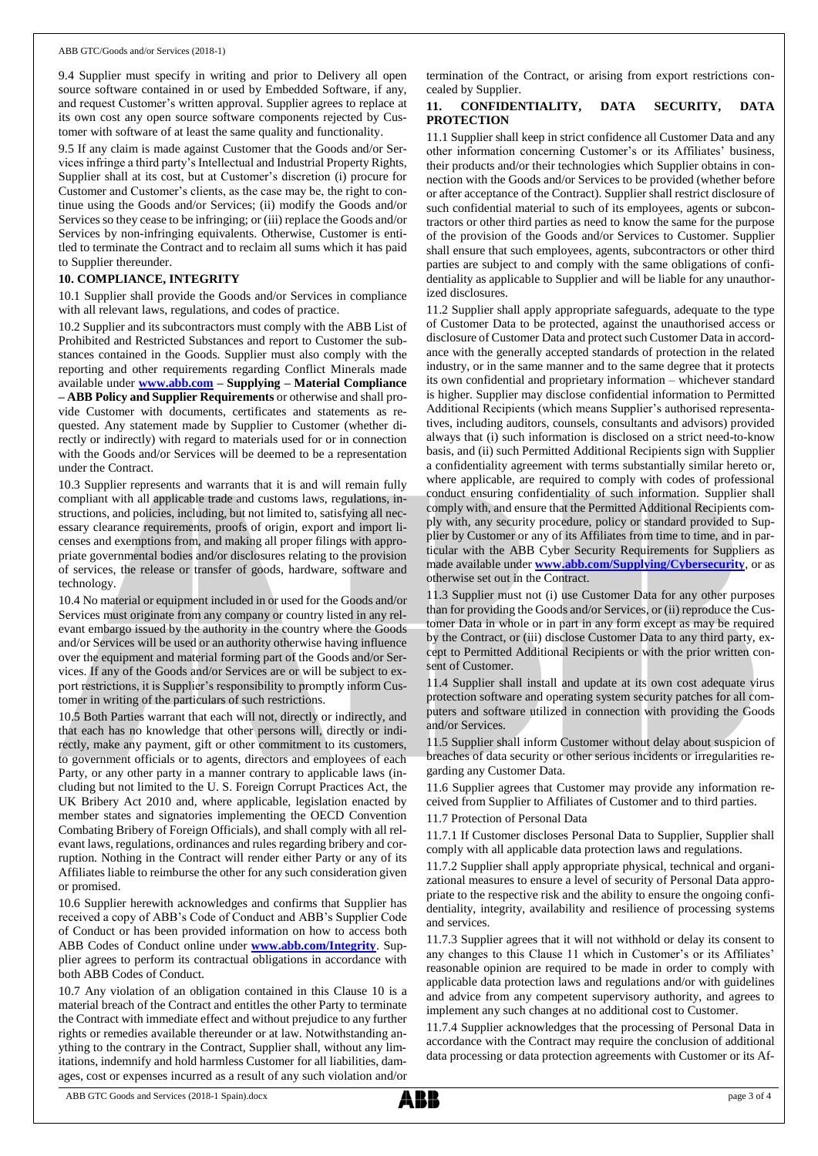9.4 Supplier must specify in writing and prior to Delivery all open source software contained in or used by Embedded Software, if any, and request Customer's written approval. Supplier agrees to replace at its own cost any open source software components rejected by Customer with software of at least the same quality and functionality.

9.5 If any claim is made against Customer that the Goods and/or Services infringe a third party's Intellectual and Industrial Property Rights, Supplier shall at its cost, but at Customer's discretion (i) procure for Customer and Customer's clients, as the case may be, the right to continue using the Goods and/or Services; (ii) modify the Goods and/or Services so they cease to be infringing; or (iii) replace the Goods and/or Services by non-infringing equivalents. Otherwise, Customer is entitled to terminate the Contract and to reclaim all sums which it has paid to Supplier thereunder.

#### **10. COMPLIANCE, INTEGRITY**

10.1 Supplier shall provide the Goods and/or Services in compliance with all relevant laws, regulations, and codes of practice.

10.2 Supplier and its subcontractors must comply with the ABB List of Prohibited and Restricted Substances and report to Customer the substances contained in the Goods. Supplier must also comply with the reporting and other requirements regarding Conflict Minerals made available under **[www.abb.com](http://www.abb.com/) – Supplying – Material Compliance – ABB Policy and Supplier Requirements** or otherwise and shall provide Customer with documents, certificates and statements as requested. Any statement made by Supplier to Customer (whether directly or indirectly) with regard to materials used for or in connection with the Goods and/or Services will be deemed to be a representation under the Contract.

10.3 Supplier represents and warrants that it is and will remain fully compliant with all applicable trade and customs laws, regulations, instructions, and policies, including, but not limited to, satisfying all necessary clearance requirements, proofs of origin, export and import licenses and exemptions from, and making all proper filings with appropriate governmental bodies and/or disclosures relating to the provision of services, the release or transfer of goods, hardware, software and technology.

10.4 No material or equipment included in or used for the Goods and/or Services must originate from any company or country listed in any relevant embargo issued by the authority in the country where the Goods and/or Services will be used or an authority otherwise having influence over the equipment and material forming part of the Goods and/or Services. If any of the Goods and/or Services are or will be subject to export restrictions, it is Supplier's responsibility to promptly inform Customer in writing of the particulars of such restrictions.

10.5 Both Parties warrant that each will not, directly or indirectly, and that each has no knowledge that other persons will, directly or indirectly, make any payment, gift or other commitment to its customers, to government officials or to agents, directors and employees of each Party, or any other party in a manner contrary to applicable laws (including but not limited to the U. S. Foreign Corrupt Practices Act, the UK Bribery Act 2010 and, where applicable, legislation enacted by member states and signatories implementing the OECD Convention Combating Bribery of Foreign Officials), and shall comply with all relevant laws, regulations, ordinances and rules regarding bribery and corruption. Nothing in the Contract will render either Party or any of its Affiliates liable to reimburse the other for any such consideration given or promised.

10.6 Supplier herewith acknowledges and confirms that Supplier has received a copy of ABB's Code of Conduct and ABB's Supplier Code of Conduct or has been provided information on how to access both ABB Codes of Conduct online under **[www.abb.com/Integrity](http://www.abb.com/Integrity)**. Supplier agrees to perform its contractual obligations in accordance with both ABB Codes of Conduct.

10.7 Any violation of an obligation contained in this Clause 10 is a material breach of the Contract and entitles the other Party to terminate the Contract with immediate effect and without prejudice to any further rights or remedies available thereunder or at law. Notwithstanding anything to the contrary in the Contract, Supplier shall, without any limitations, indemnify and hold harmless Customer for all liabilities, damages, cost or expenses incurred as a result of any such violation and/or termination of the Contract, or arising from export restrictions concealed by Supplier.

# **11. CONFIDENTIALITY, DATA SECURITY, DATA PROTECTION**

11.1 Supplier shall keep in strict confidence all Customer Data and any other information concerning Customer's or its Affiliates' business, their products and/or their technologies which Supplier obtains in connection with the Goods and/or Services to be provided (whether before or after acceptance of the Contract). Supplier shall restrict disclosure of such confidential material to such of its employees, agents or subcontractors or other third parties as need to know the same for the purpose of the provision of the Goods and/or Services to Customer. Supplier shall ensure that such employees, agents, subcontractors or other third parties are subject to and comply with the same obligations of confidentiality as applicable to Supplier and will be liable for any unauthorized disclosures.

11.2 Supplier shall apply appropriate safeguards, adequate to the type of Customer Data to be protected, against the unauthorised access or disclosure of Customer Data and protect such Customer Data in accordance with the generally accepted standards of protection in the related industry, or in the same manner and to the same degree that it protects its own confidential and proprietary information – whichever standard is higher. Supplier may disclose confidential information to Permitted Additional Recipients (which means Supplier's authorised representatives, including auditors, counsels, consultants and advisors) provided always that (i) such information is disclosed on a strict need-to-know basis, and (ii) such Permitted Additional Recipients sign with Supplier a confidentiality agreement with terms substantially similar hereto or, where applicable, are required to comply with codes of professional conduct ensuring confidentiality of such information. Supplier shall comply with, and ensure that the Permitted Additional Recipients comply with, any security procedure, policy or standard provided to Supplier by Customer or any of its Affiliates from time to time, and in particular with the ABB Cyber Security Requirements for Suppliers as made available under **[www.abb.com/Supplying/Cybersecurity](http://www.abb.com/Supplying/Cybersecurity)**, or as otherwise set out in the Contract.

11.3 Supplier must not (i) use Customer Data for any other purposes than for providing the Goods and/or Services, or (ii) reproduce the Customer Data in whole or in part in any form except as may be required by the Contract, or (iii) disclose Customer Data to any third party, except to Permitted Additional Recipients or with the prior written consent of Customer.

11.4 Supplier shall install and update at its own cost adequate virus protection software and operating system security patches for all computers and software utilized in connection with providing the Goods and/or Services.

11.5 Supplier shall inform Customer without delay about suspicion of breaches of data security or other serious incidents or irregularities regarding any Customer Data.

11.6 Supplier agrees that Customer may provide any information received from Supplier to Affiliates of Customer and to third parties.

11.7 Protection of Personal Data

11.7.1 If Customer discloses Personal Data to Supplier, Supplier shall comply with all applicable data protection laws and regulations.

11.7.2 Supplier shall apply appropriate physical, technical and organizational measures to ensure a level of security of Personal Data appropriate to the respective risk and the ability to ensure the ongoing confidentiality, integrity, availability and resilience of processing systems and services.

11.7.3 Supplier agrees that it will not withhold or delay its consent to any changes to this Clause 11 which in Customer's or its Affiliates' reasonable opinion are required to be made in order to comply with applicable data protection laws and regulations and/or with guidelines and advice from any competent supervisory authority, and agrees to implement any such changes at no additional cost to Customer.

11.7.4 Supplier acknowledges that the processing of Personal Data in accordance with the Contract may require the conclusion of additional data processing or data protection agreements with Customer or its Af-